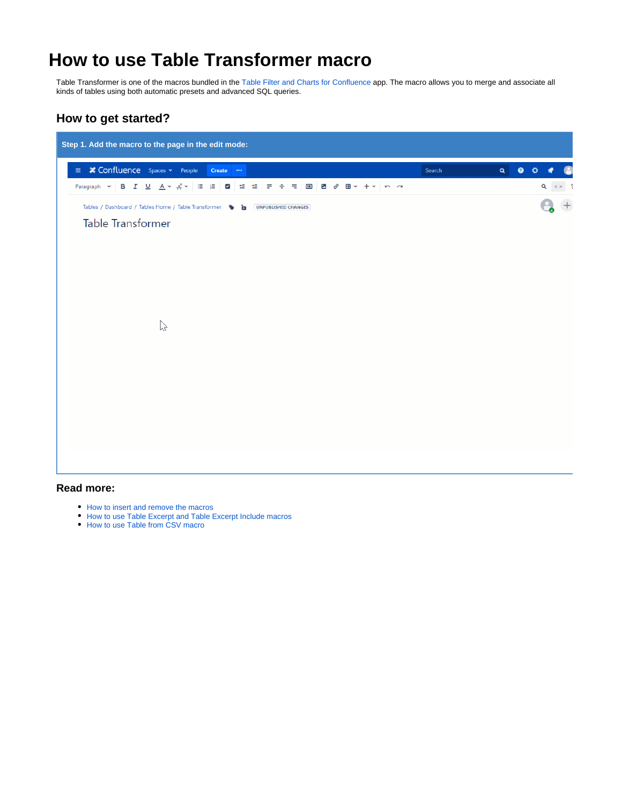# **How to use Table Transformer macro**

Table Transformer is one of the macros bundled in the [Table Filter and Charts for Confluence](https://marketplace.atlassian.com/apps/27447/table-filter-and-charts-for-confluence?hosting=server&tab=overview&from=documentation) app. The macro allows you to merge and associate all kinds of tables using both automatic presets and advanced SQL queries.

## **How to get started?**



#### **Read more:**

- [How to insert and remove the macros](https://docs.stiltsoft.com/display/TFAC/How+to+insert+and+remove+the+macros)
- [How to use Table Excerpt and Table Excerpt Include macros](https://docs.stiltsoft.com/display/TFAC/How+to+use+Table+Excerpt+and+Table+Excerpt+Include+macros)
- [How to use Table from CSV macro](https://docs.stiltsoft.com/display/TFAC/How+to+use+Table+from+CSV+macro)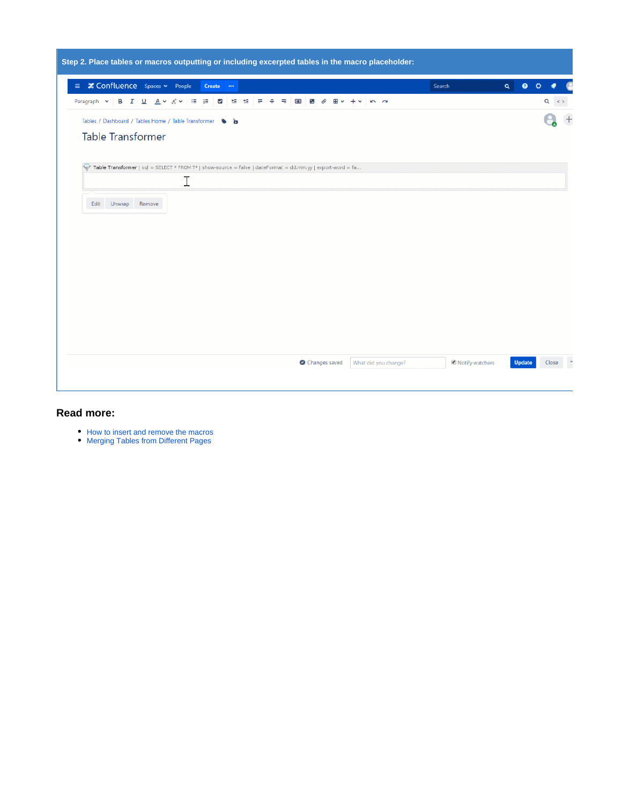|                                                   |      |        |                                                                                                             |        |                                                 |   |        |                            |   |   |                     |   |               |  | Step 2. Place tables or macros outputting or including excerpted tables in the macro placeholder: |        |                 |          |           |           |  |
|---------------------------------------------------|------|--------|-------------------------------------------------------------------------------------------------------------|--------|-------------------------------------------------|---|--------|----------------------------|---|---|---------------------|---|---------------|--|---------------------------------------------------------------------------------------------------|--------|-----------------|----------|-----------|-----------|--|
| $\equiv$ $\angle$ Confluence Spaces $\sim$ People |      |        |                                                                                                             |        |                                                 |   | Create | $\rightarrow$              |   |   |                     |   |               |  |                                                                                                   | Search |                 | $\alpha$ | $\bullet$ | $\alpha$  |  |
| Paragraph v                                       |      | B I    | ப                                                                                                           |        | $\underline{A} \vee \underline{A}^{\circ} \vee$ | 這 | 這      | $\blacktriangleright$<br>蛙 | 坦 | ÷ | $\blacksquare$<br>≕ | £ | 田             |  | $\sim$ $\sim$                                                                                     |        |                 |          |           | $Q \le 5$ |  |
|                                                   |      |        | Tables / Dashboard / Tables Home / Table Transformer \ able                                                 |        |                                                 |   |        |                            |   |   |                     |   |               |  |                                                                                                   |        |                 |          |           |           |  |
|                                                   |      |        | Table Transformer                                                                                           |        |                                                 |   |        |                            |   |   |                     |   |               |  |                                                                                                   |        |                 |          |           |           |  |
|                                                   |      |        |                                                                                                             |        |                                                 |   |        |                            |   |   |                     |   |               |  |                                                                                                   |        |                 |          |           |           |  |
|                                                   |      |        | Table Transformer   sql = SELECT * FROM T*   show-source = false   dateFormat = dd.mm.yy   export-word = fa |        |                                                 |   |        |                            |   |   |                     |   |               |  |                                                                                                   |        |                 |          |           |           |  |
|                                                   |      |        |                                                                                                             |        |                                                 | Ι |        |                            |   |   |                     |   |               |  |                                                                                                   |        |                 |          |           |           |  |
|                                                   | Edit | Unwrap |                                                                                                             | Remove |                                                 |   |        |                            |   |   |                     |   |               |  |                                                                                                   |        |                 |          |           |           |  |
|                                                   |      |        |                                                                                                             |        |                                                 |   |        |                            |   |   |                     |   |               |  |                                                                                                   |        |                 |          |           |           |  |
|                                                   |      |        |                                                                                                             |        |                                                 |   |        |                            |   |   |                     |   |               |  |                                                                                                   |        |                 |          |           |           |  |
|                                                   |      |        |                                                                                                             |        |                                                 |   |        |                            |   |   |                     |   |               |  |                                                                                                   |        |                 |          |           |           |  |
|                                                   |      |        |                                                                                                             |        |                                                 |   |        |                            |   |   |                     |   |               |  |                                                                                                   |        |                 |          |           |           |  |
|                                                   |      |        |                                                                                                             |        |                                                 |   |        |                            |   |   |                     |   |               |  |                                                                                                   |        |                 |          |           |           |  |
|                                                   |      |        |                                                                                                             |        |                                                 |   |        |                            |   |   |                     |   |               |  |                                                                                                   |        |                 |          |           |           |  |
|                                                   |      |        |                                                                                                             |        |                                                 |   |        |                            |   |   |                     |   |               |  |                                                                                                   |        |                 |          |           |           |  |
|                                                   |      |        |                                                                                                             |        |                                                 |   |        |                            |   |   |                     |   |               |  |                                                                                                   |        |                 |          |           |           |  |
|                                                   |      |        |                                                                                                             |        |                                                 |   |        |                            |   |   |                     |   |               |  |                                                                                                   |        |                 |          |           |           |  |
|                                                   |      |        |                                                                                                             |        |                                                 |   |        |                            |   |   |                     |   | Changes saved |  | What did you change?                                                                              |        | Notify watchers |          | Update    | Close     |  |
|                                                   |      |        |                                                                                                             |        |                                                 |   |        |                            |   |   |                     |   |               |  |                                                                                                   |        |                 |          |           |           |  |
|                                                   |      |        |                                                                                                             |        |                                                 |   |        |                            |   |   |                     |   |               |  |                                                                                                   |        |                 |          |           |           |  |

- [How to insert and remove the macros](https://docs.stiltsoft.com/display/TFAC/How+to+insert+and+remove+the+macros)
- [Merging Tables from Different Pages](https://docs.stiltsoft.com/display/TFAC/How+to+use+Table+Excerpt+and+Table+Excerpt+Include+macros#HowtouseTableExcerptandTableExcerptIncludemacros-MergingTablesfromDifferentPages)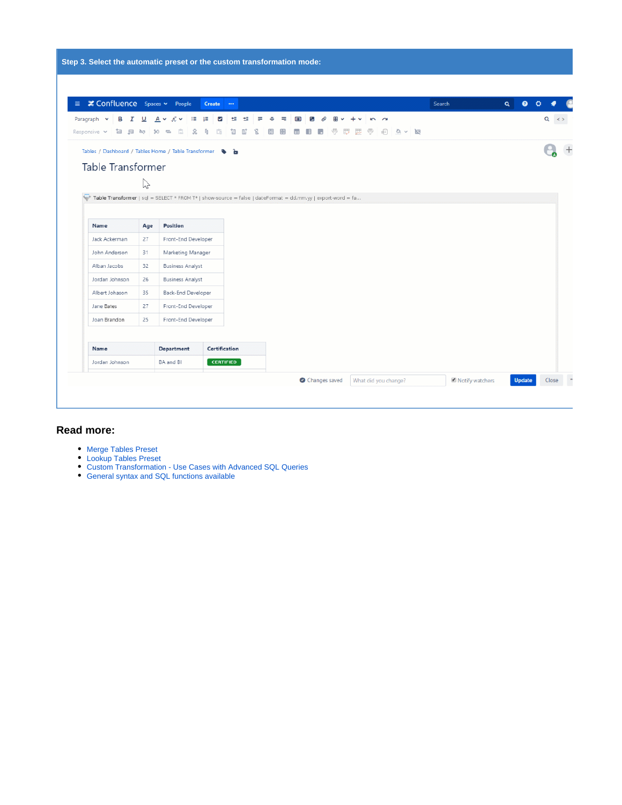|                                                                                                                                                                                              |             | $\equiv$ $\angle$ Confluence Spaces $\sim$ People                     | <b>Create</b> | $\cdots$ |   |             |        |                |  |  |     |                   | Search |  | $\alpha$ | $\bullet$ | $O \bullet$ |            |
|----------------------------------------------------------------------------------------------------------------------------------------------------------------------------------------------|-------------|-----------------------------------------------------------------------|---------------|----------|---|-------------|--------|----------------|--|--|-----|-------------------|--------|--|----------|-----------|-------------|------------|
| Paragraph v<br>в<br>I<br>Responsive v<br>白日中                                                                                                                                                 | ⊻<br>$50 -$ | 這<br>$\underline{A} \vee \underline{A}^{\circ} \vee$<br>$\equiv$<br>c | 這<br>⊻        | 隼        | 坦 | ₽<br>÷<br>岊 | ₹<br>賱 | $\blacksquare$ |  |  | ff) | $\omega \sim 1/2$ |        |  |          |           |             | $Q \leq 5$ |
| Tables / Dashboard / Tables Home / Table Transformer \ a<br>Table Transformer<br>Table Transformer   sql = SELECT * FROM T*   show-source = false   dateFormat = dd.mm.yy   export-word = fa | B           |                                                                       |               |          |   |             |        |                |  |  |     |                   |        |  |          |           |             |            |
| Name                                                                                                                                                                                         | Age         | Position                                                              |               |          |   |             |        |                |  |  |     |                   |        |  |          |           |             |            |
| Jack Ackerman                                                                                                                                                                                | 27          | Front-End Developer                                                   |               |          |   |             |        |                |  |  |     |                   |        |  |          |           |             |            |
| John Anderson                                                                                                                                                                                | 31          | Marketing Manager                                                     |               |          |   |             |        |                |  |  |     |                   |        |  |          |           |             |            |
| Alban Jacobs                                                                                                                                                                                 | 32          | <b>Business Analyst</b>                                               |               |          |   |             |        |                |  |  |     |                   |        |  |          |           |             |            |
|                                                                                                                                                                                              | 26          | <b>Business Analyst</b>                                               |               |          |   |             |        |                |  |  |     |                   |        |  |          |           |             |            |
| Jordan Johnson                                                                                                                                                                               | 35          | Back-End Developer                                                    |               |          |   |             |        |                |  |  |     |                   |        |  |          |           |             |            |
| Albert Johason                                                                                                                                                                               |             | Front-End Developer                                                   |               |          |   |             |        |                |  |  |     |                   |        |  |          |           |             |            |
| Jane Bates                                                                                                                                                                                   | 27          |                                                                       |               |          |   |             |        |                |  |  |     |                   |        |  |          |           |             |            |
| Joan Brandon                                                                                                                                                                                 | 25          | Front-End Developer                                                   |               |          |   |             |        |                |  |  |     |                   |        |  |          |           |             |            |
|                                                                                                                                                                                              |             |                                                                       |               |          |   |             |        |                |  |  |     |                   |        |  |          |           |             |            |
| Name                                                                                                                                                                                         |             | Department                                                            | Certification |          |   |             |        |                |  |  |     |                   |        |  |          |           |             |            |

- [Merge Tables Preset](https://docs.stiltsoft.com/display/TFAC/Default+automatic+presets#Defaultautomaticpresets-Mergetablespreset)
- [Lookup Tables Preset](https://docs.stiltsoft.com/display/TFAC/Default+automatic+presets#Defaultautomaticpresets-Lookuptablespreset)
- [Custom Transformation Use Cases with Advanced SQL Queries](https://docs.stiltsoft.com/display/TFAC/Custom+Transformation+-+use+cases+with+advanced+SQL+queries)
- [General syntax and SQL functions available](https://docs.stiltsoft.com/display/TFAC/General+syntax+and+SQL+functions+available)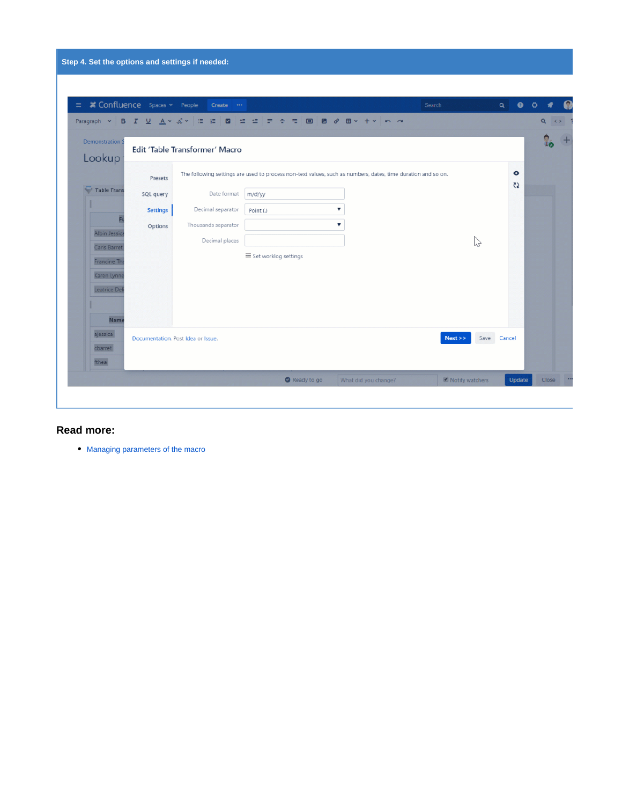| ■ Confluence Spaces > People     |                 | $Create \cdots$                                                                                              |                      |             |                      |                | Search          |          | Q           | $\bullet$<br>Ö       |          |             |
|----------------------------------|-----------------|--------------------------------------------------------------------------------------------------------------|----------------------|-------------|----------------------|----------------|-----------------|----------|-------------|----------------------|----------|-------------|
| Paragraph v                      |                 | B I U A v A v   E   2   E   E   E                                                                            | $\equiv$<br>÷<br>モ   | $\Box$<br>в | $\mathcal{C}$<br>田 - | n <sub>a</sub> |                 |          |             |                      | $\alpha$ | $\langle$ > |
| <b>Demonstration S</b><br>Lookup |                 | Edit 'Table Transformer' Macro                                                                               |                      |             |                      |                |                 |          |             |                      |          |             |
|                                  | Presets         | The following settings are used to process non-text values, such as numbers, dates, time duration and so on. |                      |             |                      |                |                 |          |             | $\bullet$<br>$\zeta$ |          |             |
| <b>Table Trans</b>               | SQL query       | Date format                                                                                                  | m/d/yy               |             |                      |                |                 |          |             |                      |          |             |
|                                  | <b>Settings</b> | Decimal separator                                                                                            | Point (.)            |             | v                    |                |                 |          |             |                      |          |             |
|                                  | Options         | Thousands separator                                                                                          |                      |             | v                    |                |                 |          |             |                      |          |             |
| Albin Jessica<br>Caris Barret    |                 | Decimal places                                                                                               |                      |             |                      |                |                 | $\gamma$ |             |                      |          |             |
| Francine The                     |                 |                                                                                                              | Set worklog settings |             |                      |                |                 |          |             |                      |          |             |
| Karen Lynne                      |                 |                                                                                                              |                      |             |                      |                |                 |          |             |                      |          |             |
| Leatrice Del                     |                 |                                                                                                              |                      |             |                      |                |                 |          |             |                      |          |             |
|                                  |                 |                                                                                                              |                      |             |                      |                |                 |          |             |                      |          |             |
| <b>Name</b>                      |                 |                                                                                                              |                      |             |                      |                |                 |          |             |                      |          |             |
| ajessica                         |                 | Documentation. Post Idea or Issue.                                                                           |                      |             |                      |                | Next            |          | Save Cancel |                      |          |             |
| cbarret                          |                 |                                                                                                              |                      |             |                      |                |                 |          |             |                      |          |             |
| fthea                            |                 |                                                                                                              |                      |             |                      |                |                 |          |             |                      |          |             |
|                                  |                 |                                                                                                              |                      | Ready to go | What did you change? |                | Notify watchers |          |             | Update               | Close    |             |

[Managing parameters of the macro](https://docs.stiltsoft.com/display/TFAC/Default+automatic+presets#Defaultautomaticpresets-Managingparametersofthemacro)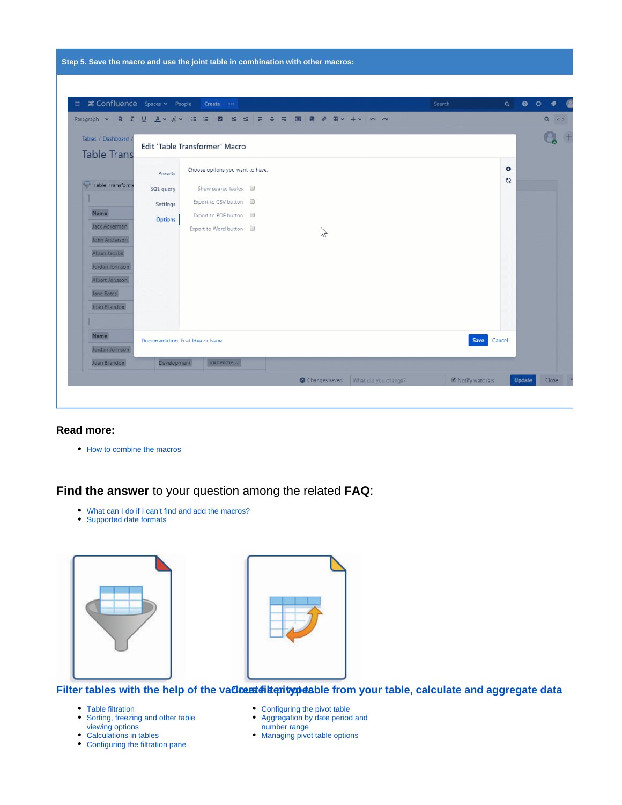| <b>≭ Confluence</b> Spaces v People<br>E.  |                | Create                                    |                                                                        | Search | Q         | $\bullet$ 0 $\bullet$ |
|--------------------------------------------|----------------|-------------------------------------------|------------------------------------------------------------------------|--------|-----------|-----------------------|
|                                            |                | Paragraph v B I U A v A v E E B B E E E E | $\Box$ $\Box$ $\partial$<br>$\boxplus$ $\vee$ $+$ $\vee$ $\cap$ $\sim$ |        |           | $Q \le 5$             |
| Tables / Dashboard /<br><b>Table Trans</b> |                | Edit 'Table Transformer' Macro            |                                                                        |        |           |                       |
|                                            | Presets        | Choose options you want to have.          |                                                                        |        | $\bullet$ |                       |
| Table Transform                            | SQL query      | Show source tables a                      |                                                                        |        | $\zeta$   |                       |
|                                            | Settings       | Export to CSV button                      |                                                                        |        |           |                       |
| Name                                       | <b>Options</b> | Export to PDF button                      |                                                                        |        |           |                       |
| Jack Ackerman<br>John Anderson             |                | Export to Word button                     | グ                                                                      |        |           |                       |
| Alban Jacobs                               |                |                                           |                                                                        |        |           |                       |
| Jordan Johnson                             |                |                                           |                                                                        |        |           |                       |
| Albert Johason                             |                |                                           |                                                                        |        |           |                       |
| Jane Bates                                 |                |                                           |                                                                        |        |           |                       |
| Joan Brandon                               |                |                                           |                                                                        |        |           |                       |
|                                            |                |                                           |                                                                        |        |           |                       |
| <b>Name</b>                                |                | Documentation, Post Idea or Issue.        |                                                                        | Save   | Cancel    |                       |
| Jordan Johnson                             |                |                                           |                                                                        |        |           |                       |
| Joan Brandon                               | Development    | UNCERTIFI                                 |                                                                        |        |           |                       |

• [How to combine the macros](https://docs.stiltsoft.com/display/TFAC/How+to+combine+the+macros)

**Find the answer** to your question among the related **FAQ**:

- [What can I do if I can't find and add the macros?](https://docs.stiltsoft.com/pages/viewpage.action?pageId=42239861#FAQ-WhatcanIdoifIcan%27tfindandaddthemacros?)
- [Supported date formats](https://docs.stiltsoft.com/pages/viewpage.action?pageId=42239861#FAQ-Whatarethesupporteddateformats?)





#### Filter tables with the help of the va**Cœ¤téiäorivopés**ble from your table, calculate and aggregate data

- [Table filtration](https://docs.stiltsoft.com/display/TFAC/Table+filtration)
- [Sorting, freezing and other table](https://docs.stiltsoft.com/display/TFAC/Sorting%2C+freezing+and+other+table+viewing+options)  [viewing options](https://docs.stiltsoft.com/display/TFAC/Sorting%2C+freezing+and+other+table+viewing+options)
- [Calculations in tables](https://docs.stiltsoft.com/display/TFAC/Calculations+in+tables)
- [Configuring the filtration pane](https://docs.stiltsoft.com/display/TFAC/Configuring+the+filtration+pane)
- [Configuring the pivot table](https://docs.stiltsoft.com/display/TFAC/Configuring+the+pivot+table)
- [Aggregation by date period and](https://docs.stiltsoft.com/display/TFAC/Aggregation+by+date+period+and+number+range)
- [number range](https://docs.stiltsoft.com/display/TFAC/Aggregation+by+date+period+and+number+range)
- [Managing pivot table options](https://docs.stiltsoft.com/display/TFAC/Managing+pivot+table+options)